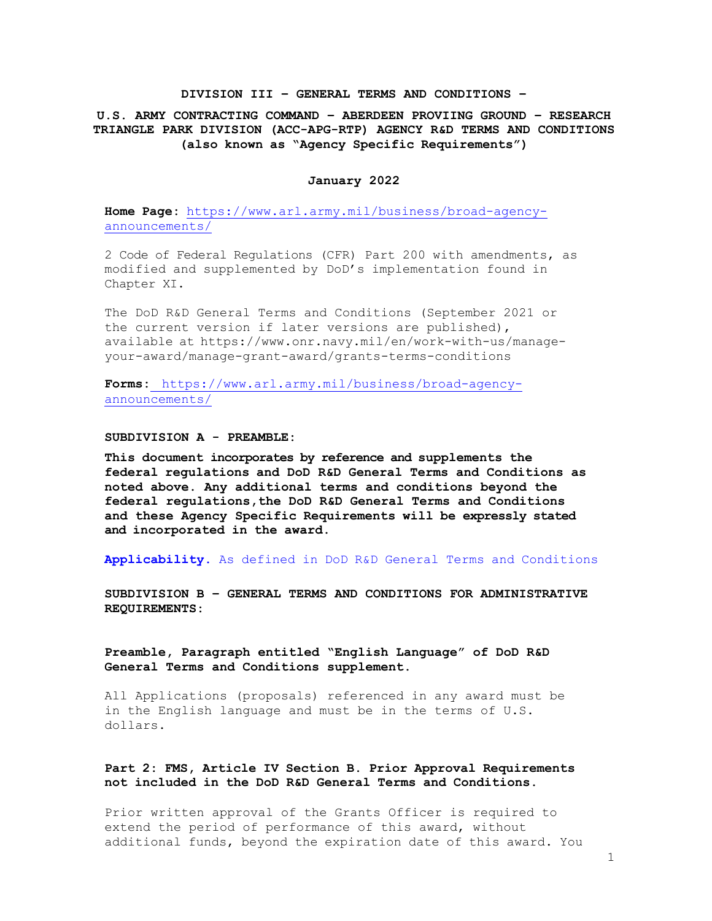### **DIVISION III – GENERAL TERMS AND CONDITIONS –**

# **U.S. ARMY CONTRACTING COMMAND – ABERDEEN PROVIING GROUND – RESEARCH TRIANGLE PARK DIVISION (ACC-APG-RTP) AGENCY R&D TERMS AND CONDITIONS (also known as "Agency Specific Requirements")**

### **January 2022**

**Home Page:** http[s://www.arl.army.mil/business/broad-agency](http://www.arl.army.mil/business/broad-agency-)announcements/

2 Code of Federal Regulations (CFR) Part 200 with amendments, as modified and supplemented by DoD's implementation found in Chapter XI.

The DoD R&D General Terms and Conditions (September 2021 or the current version if later versions are published), available at https:/[/www.onr.navy.mil/en/work-with-us/manage](http://www.onr.navy.mil/en/work-with-us/manage-)your-award/manage-grant-award/grants-terms-conditions

**Forms:** http[s://www.arl.army.mil/business/broad-agency](http://www.arl.army.mil/business/broad-agency-)announcements/

#### **SUBDIVISION A - PREAMBLE:**

**This document incorporates by reference and supplements the federal regulations and DoD R&D General Terms and Conditions as noted above. Any additional terms and conditions beyond the federal regulations,the DoD R&D General Terms and Conditions and these Agency Specific Requirements will be expressly stated and incorporated in the award.**

**Applicability.** As defined in DoD R&D General Terms and Conditions

**SUBDIVISION B – GENERAL TERMS AND CONDITIONS FOR ADMINISTRATIVE REQUIREMENTS:**

**Preamble, Paragraph entitled "English Language" of DoD R&D General Terms and Conditions supplement.**

All Applications (proposals) referenced in any award must be in the English language and must be in the terms of U.S. dollars.

# **Part 2: FMS, Article IV Section B. Prior Approval Requirements not included in the DoD R&D General Terms and Conditions.**

Prior written approval of the Grants Officer is required to extend the period of performance of this award, without additional funds, beyond the expiration date of this award. You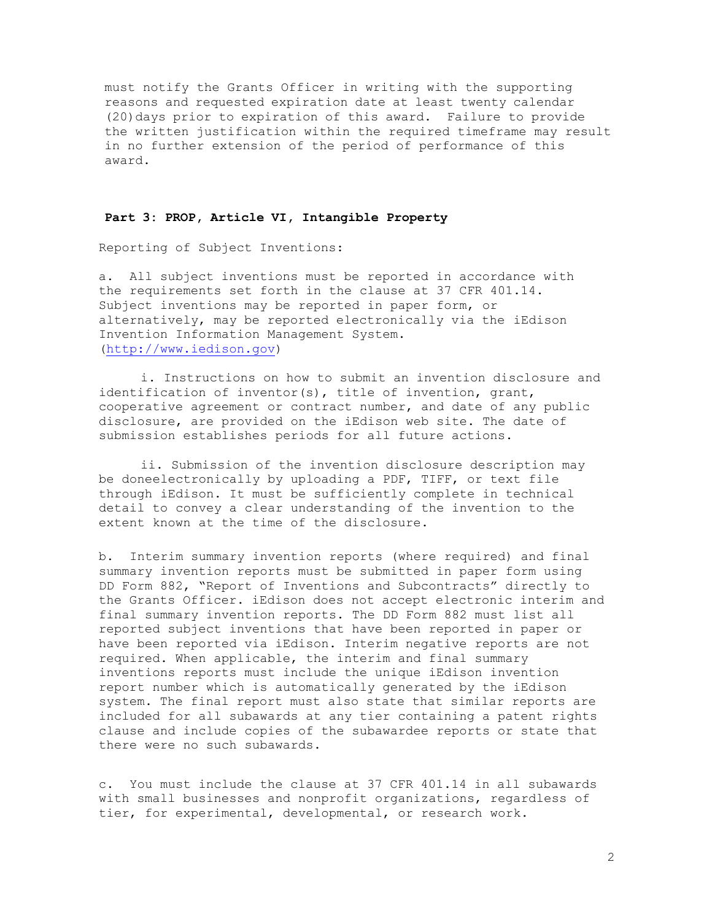must notify the Grants Officer in writing with the supporting reasons and requested expiration date at least twenty calendar (20)days prior to expiration of this award. Failure to provide the written justification within the required timeframe may result in no further extension of the period of performance of this award.

### **Part 3: PROP, Article VI, Intangible Property**

Reporting of Subject Inventions:

a. All subject inventions must be reported in accordance with the requirements set forth in the clause at 37 CFR 401.14. Subject inventions may be reported in paper form, or alternatively, may be reported electronically via the iEdison Invention Information Management System. [\(http://www.iedison.gov\)](http://www.iedison.gov/)

i. Instructions on how to submit an invention disclosure and identification of inventor(s), title of invention, grant, cooperative agreement or contract number, and date of any public disclosure, are provided on the iEdison web site. The date of submission establishes periods for all future actions.

ii. Submission of the invention disclosure description may be doneelectronically by uploading a PDF, TIFF, or text file through iEdison. It must be sufficiently complete in technical detail to convey a clear understanding of the invention to the extent known at the time of the disclosure.

b. Interim summary invention reports (where required) and final summary invention reports must be submitted in paper form using DD Form 882, "Report of Inventions and Subcontracts" directly to the Grants Officer. iEdison does not accept electronic interim and final summary invention reports. The DD Form 882 must list all reported subject inventions that have been reported in paper or have been reported via iEdison. Interim negative reports are not required. When applicable, the interim and final summary inventions reports must include the unique iEdison invention report number which is automatically generated by the iEdison system. The final report must also state that similar reports are included for all subawards at any tier containing a patent rights clause and include copies of the subawardee reports or state that there were no such subawards.

c. You must include the clause at 37 CFR 401.14 in all subawards with small businesses and nonprofit organizations, regardless of tier, for experimental, developmental, or research work.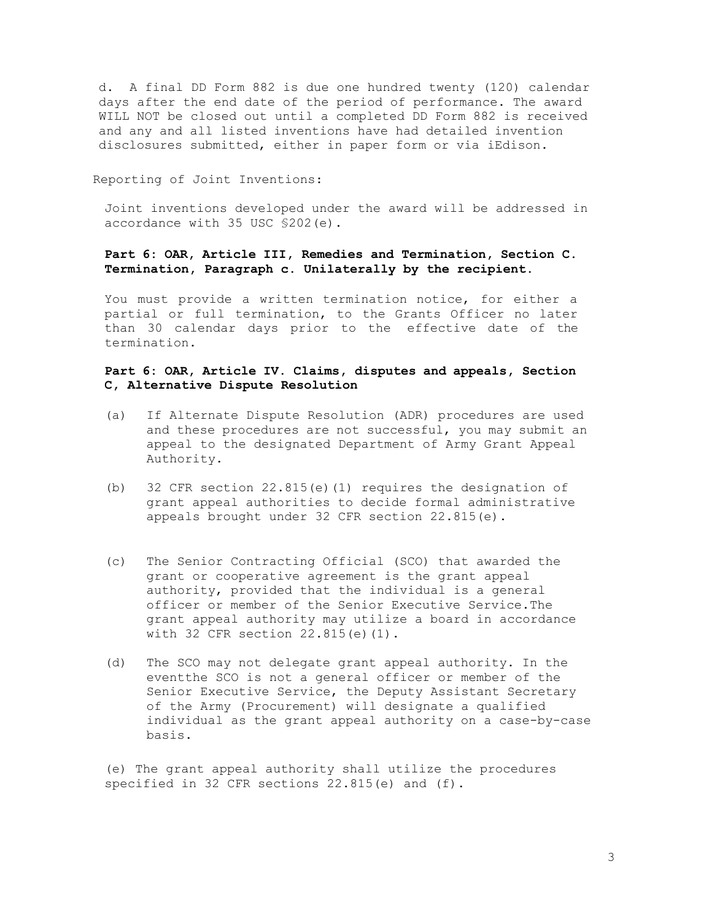d. A final DD Form 882 is due one hundred twenty (120) calendar days after the end date of the period of performance. The award WILL NOT be closed out until a completed DD Form 882 is received and any and all listed inventions have had detailed invention disclosures submitted, either in paper form or via iEdison.

### Reporting of Joint Inventions:

Joint inventions developed under the award will be addressed in accordance with 35 USC §202(e).

## **Part 6: OAR, Article III, Remedies and Termination, Section C. Termination, Paragraph c. Unilaterally by the recipient.**

You must provide a written termination notice, for either a partial or full termination, to the Grants Officer no later than 30 calendar days prior to the effective date of the termination.

# **Part 6: OAR, Article IV. Claims, disputes and appeals, Section C, Alternative Dispute Resolution**

- (a) If Alternate Dispute Resolution (ADR) procedures are used and these procedures are not successful, you may submit an appeal to the designated Department of Army Grant Appeal Authority.
- (b) 32 CFR section 22.815(e)(1) requires the designation of grant appeal authorities to decide formal administrative appeals brought under 32 CFR section 22.815(e).
- (c) The Senior Contracting Official (SCO) that awarded the grant or cooperative agreement is the grant appeal authority, provided that the individual is a general officer or member of the Senior Executive Service.The grant appeal authority may utilize a board in accordance with 32 CFR section 22.815(e)(1).
- (d) The SCO may not delegate grant appeal authority. In the eventthe SCO is not a general officer or member of the Senior Executive Service, the Deputy Assistant Secretary of the Army (Procurement) will designate a qualified individual as the grant appeal authority on a case-by-case basis.

(e) The grant appeal authority shall utilize the procedures specified in 32 CFR sections 22.815(e) and (f).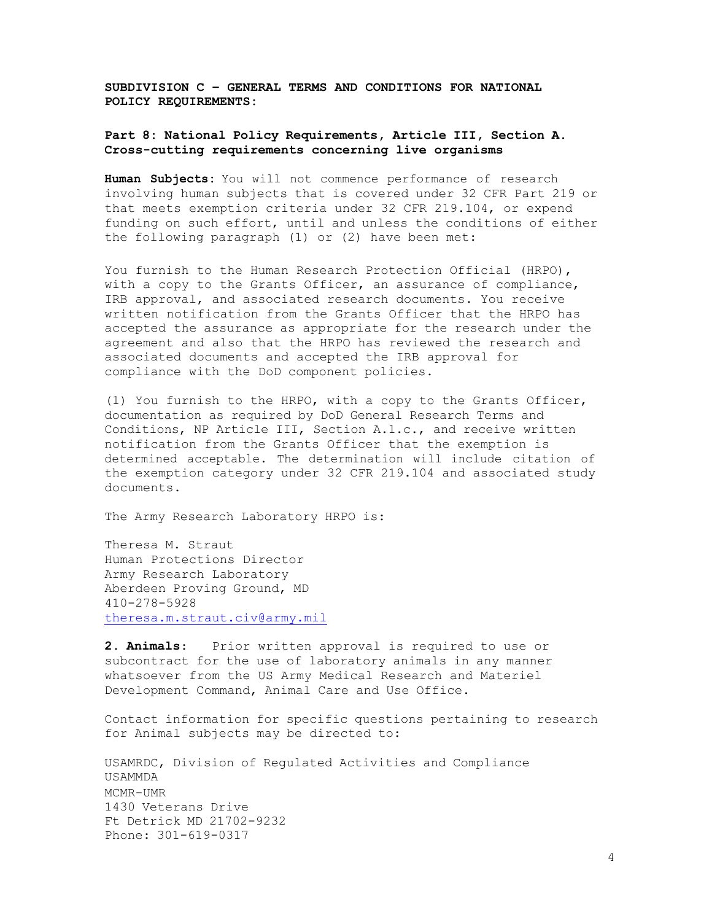**SUBDIVISION C – GENERAL TERMS AND CONDITIONS FOR NATIONAL POLICY REQUIREMENTS:**

## **Part 8: National Policy Requirements, Article III, Section A. Cross-cutting requirements concerning live organisms**

**Human Subjects:** You will not commence performance of research involving human subjects that is covered under 32 CFR Part 219 or that meets exemption criteria under 32 CFR 219.104, or expend funding on such effort, until and unless the conditions of either the following paragraph (1) or (2) have been met:

You furnish to the Human Research Protection Official (HRPO), with a copy to the Grants Officer, an assurance of compliance, IRB approval, and associated research documents. You receive written notification from the Grants Officer that the HRPO has accepted the assurance as appropriate for the research under the agreement and also that the HRPO has reviewed the research and associated documents and accepted the IRB approval for compliance with the DoD component policies.

(1) You furnish to the HRPO, with a copy to the Grants Officer, documentation as required by DoD General Research Terms and Conditions, NP Article III, Section A.1.c., and receive written notification from the Grants Officer that the exemption is determined acceptable. The determination will include citation of the exemption category under 32 CFR 219.104 and associated study documents.

The Army Research Laboratory HRPO is:

Theresa M. Straut Human Protections Director Army Research Laboratory Aberdeen Proving Ground, MD 410-278-5928 [theresa.m.straut.civ@army.mil](mailto:theresa.m.straut.civ@army.mil)

**2. Animals**: Prior written approval is required to use or subcontract for the use of laboratory animals in any manner whatsoever from the US Army Medical Research and Materiel Development Command, Animal Care and Use Office.

Contact information for specific questions pertaining to research for Animal subjects may be directed to:

USAMRDC, Division of Regulated Activities and Compliance USAMMDA MCMR-UMR 1430 Veterans Drive Ft Detrick MD 21702-9232 Phone: 301-619-0317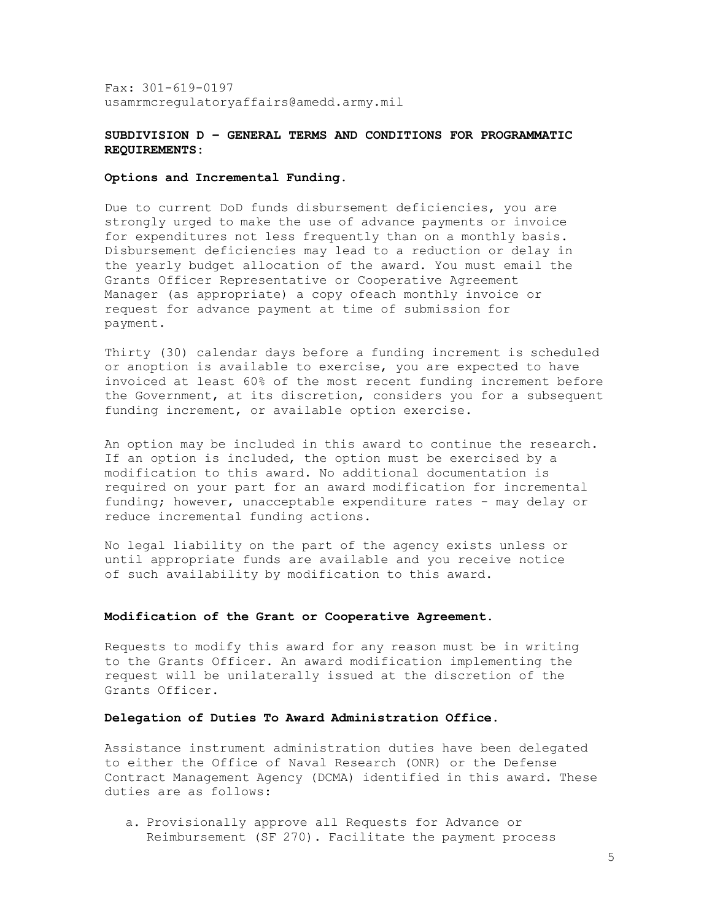Fax: 301-619-0197 [usamrmcregulatoryaffairs@amedd.army.mil](mailto:usamrmcregulatoryaffairs@amedd.army.mil)

### **SUBDIVISION D – GENERAL TERMS AND CONDITIONS FOR PROGRAMMATIC REQUIREMENTS:**

### **Options and Incremental Funding.**

Due to current DoD funds disbursement deficiencies, you are strongly urged to make the use of advance payments or invoice for expenditures not less frequently than on a monthly basis. Disbursement deficiencies may lead to a reduction or delay in the yearly budget allocation of the award. You must email the Grants Officer Representative or Cooperative Agreement Manager (as appropriate) a copy ofeach monthly invoice or request for advance payment at time of submission for payment.

Thirty (30) calendar days before a funding increment is scheduled or anoption is available to exercise, you are expected to have invoiced at least 60% of the most recent funding increment before the Government, at its discretion, considers you for a subsequent funding increment, or available option exercise.

An option may be included in this award to continue the research. If an option is included, the option must be exercised by a modification to this award. No additional documentation is required on your part for an award modification for incremental funding; however, unacceptable expenditure rates - may delay or reduce incremental funding actions.

No legal liability on the part of the agency exists unless or until appropriate funds are available and you receive notice of such availability by modification to this award.

#### **Modification of the Grant or Cooperative Agreement.**

Requests to modify this award for any reason must be in writing to the Grants Officer. An award modification implementing the request will be unilaterally issued at the discretion of the Grants Officer.

### **Delegation of Duties To Award Administration Office.**

Assistance instrument administration duties have been delegated to either the Office of Naval Research (ONR) or the Defense Contract Management Agency (DCMA) identified in this award. These duties are as follows:

a. Provisionally approve all Requests for Advance or Reimbursement (SF 270). Facilitate the payment process